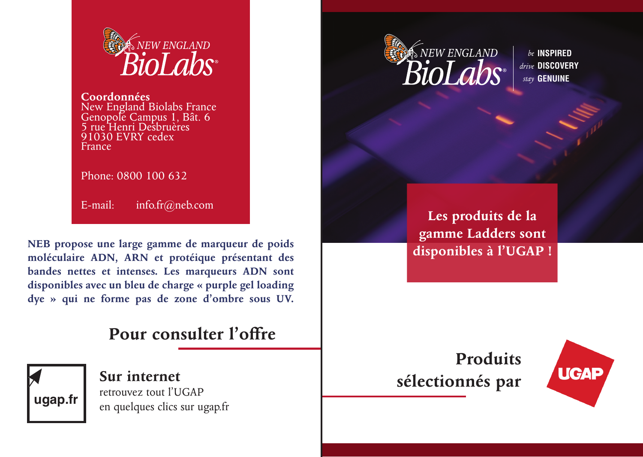

New England Biolabs France Genopole Campus 1, Bât. 6 5 rue Henri Desbruères 91030 EVRY cedex France

Phone: 0800 100 632

E-mail: info.fr@neb.com

**NEB propose une large gamme de marqueur de poids moléculaire ADN, ARN et protéique présentant des bandes nettes et intenses. Les marqueurs ADN sont disponibles avec un bleu de charge « purple gel loading dye » qui ne forme pas de zone d'ombre sous UV.**

## **Pour consulter l'offre**



**Sur internet** retrouvez tout l'UGAP en quelques clics sur ugap.fr



**INSPIRED** *be* **DISCOVERY** *drive* **GENUINE** *stay*

**Les produits de la gamme Ladders sont disponibles à l'UGAP !**

## **Produits sélectionnés par**